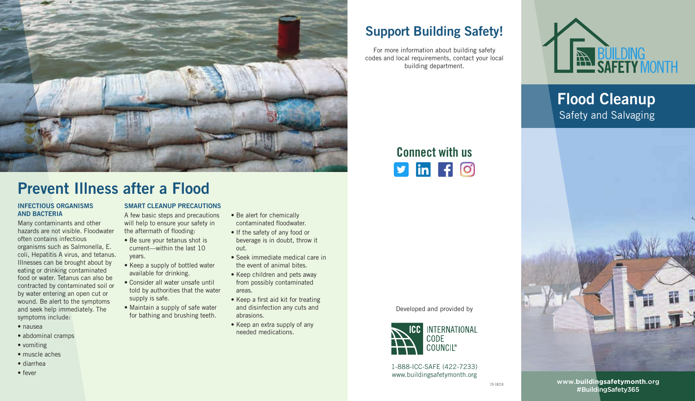

## Prevent Illness after a Flood

#### INFECTIOUS ORGANISMS AND BACTERIA

Many contaminants and other hazards are not visible. Floodwater often contains infectious organisms such as Salmonella, E. coli, Hepatitis A virus, and tetanus. Illnesses can be brought about by eating or drinking contaminated food or water. Tetanus can also be contracted by contaminated soil or by water entering an open cut or wound. Be alert to the symptoms and seek help immediately. The symptoms include:

- nausea
- abdominal cramps
- vomiting
- muscle aches
- diarrhea
- fever

### SMART CLEANUP PRECAUTIONS

A few basic steps and precautions will help to ensure your safety in the aftermath of flooding:

- Be sure your tetanus shot is current––within the last 10 years.
- Keep a supply of bottled water available for drinking.
- Consider all water unsafe until told by authorities that the water supply is safe.
- Maintain a supply of safe water for bathing and brushing teeth.
- Be alert for chemically contaminated floodwater.
- If the safety of any food or beverage is in doubt, throw it out.
- Seek immediate medical care in the event of animal bites.
- Keep children and pets away from possibly contaminated areas.
- Keep a first aid kit for treating and disinfection any cuts and abrasions.
- Keep an extra supply of any needed medications.

## Support Building Safety!

For more information about building safety codes and local requirements, contact your local building department.



Flood Cleanup Safety and Salvaging



Developed and provided by



1-888-ICC-SAFE (422-7233) www.buildingsafetymonth.org



www.**buildingsafetymonth**.org #BuildingSafety365